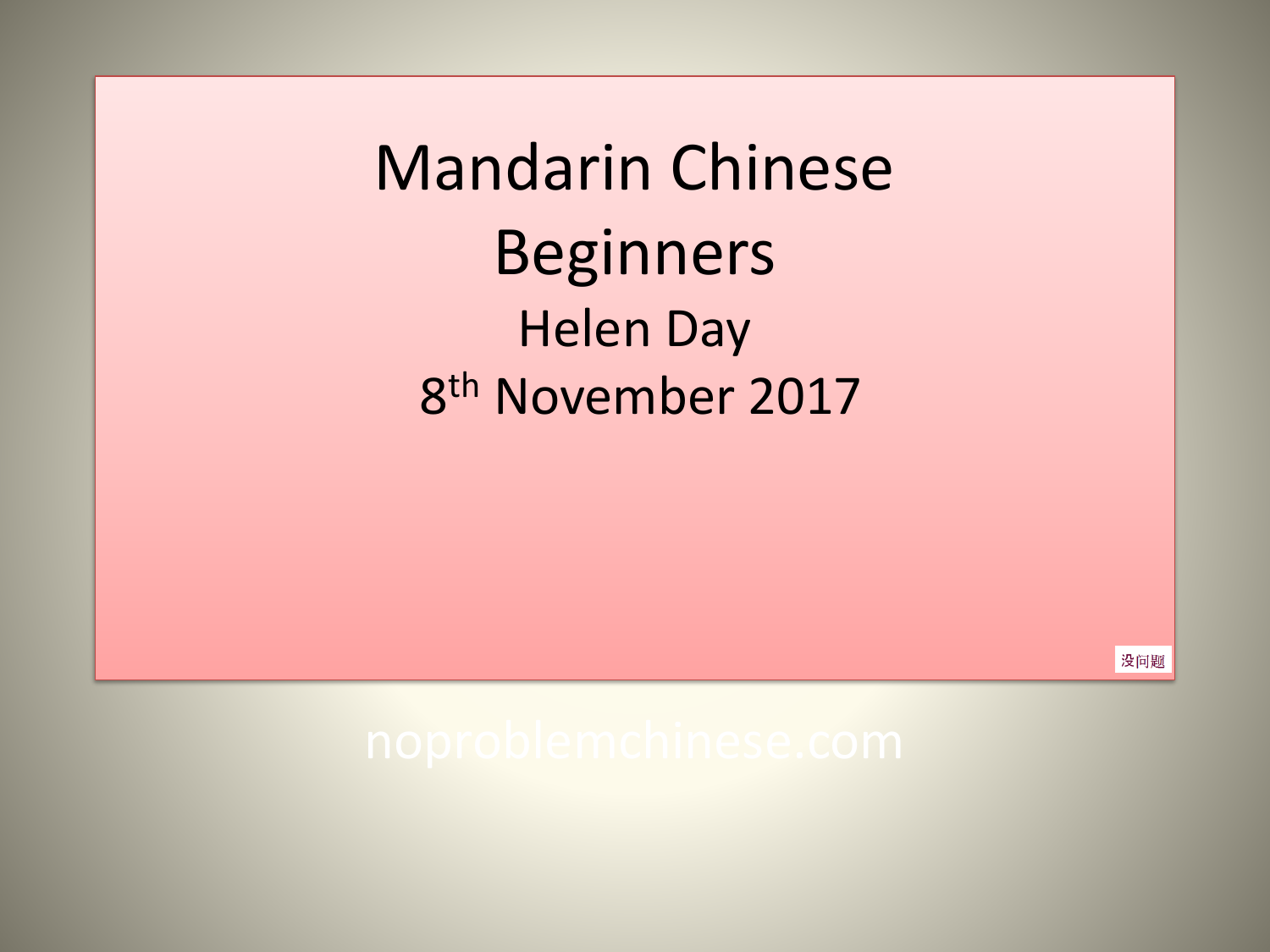Mandarin Chinese Beginners Helen Day 8 th November 2017

没问题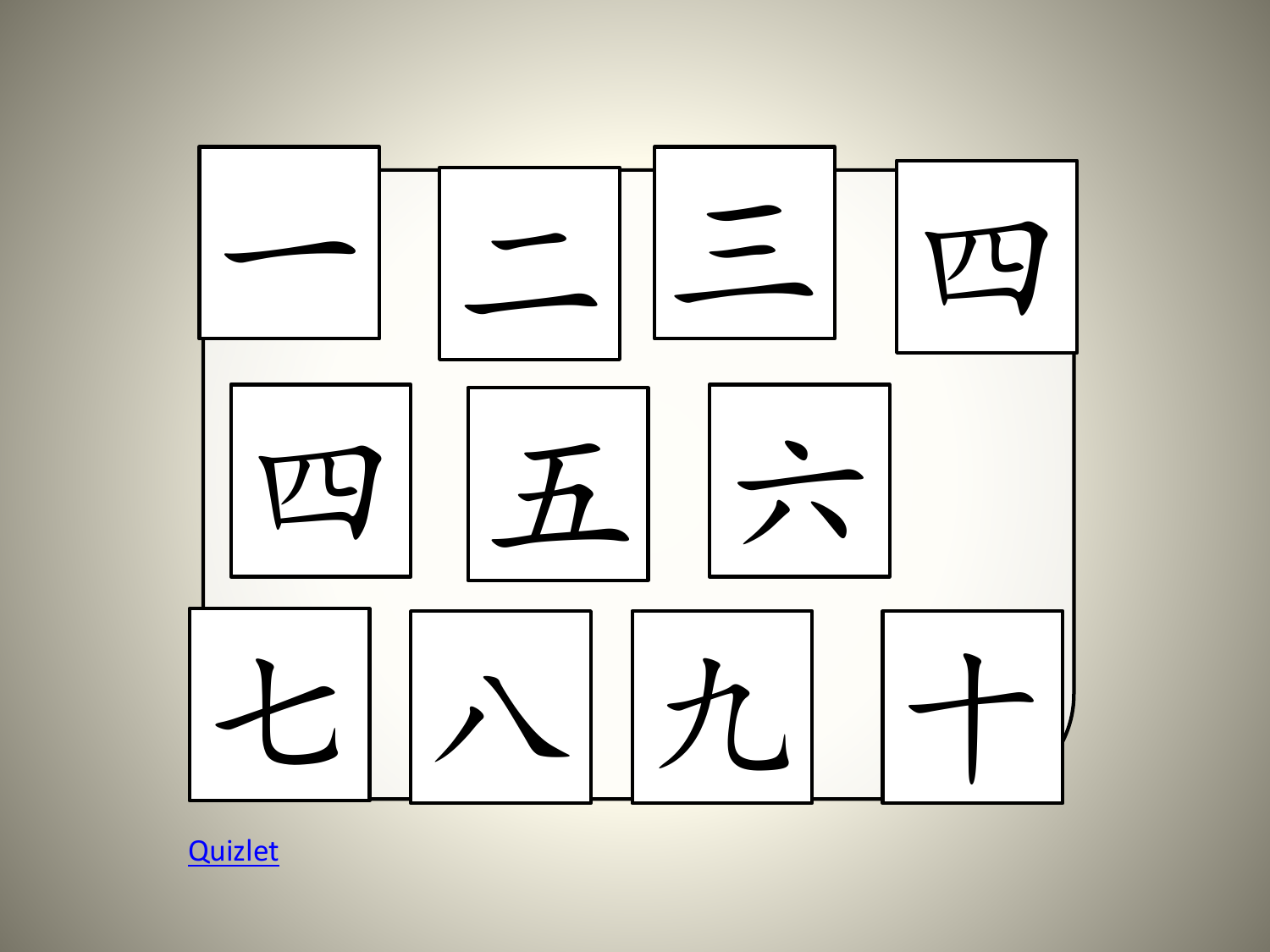

**[Quizlet](https://quizlet.com/155284207/flashcards)**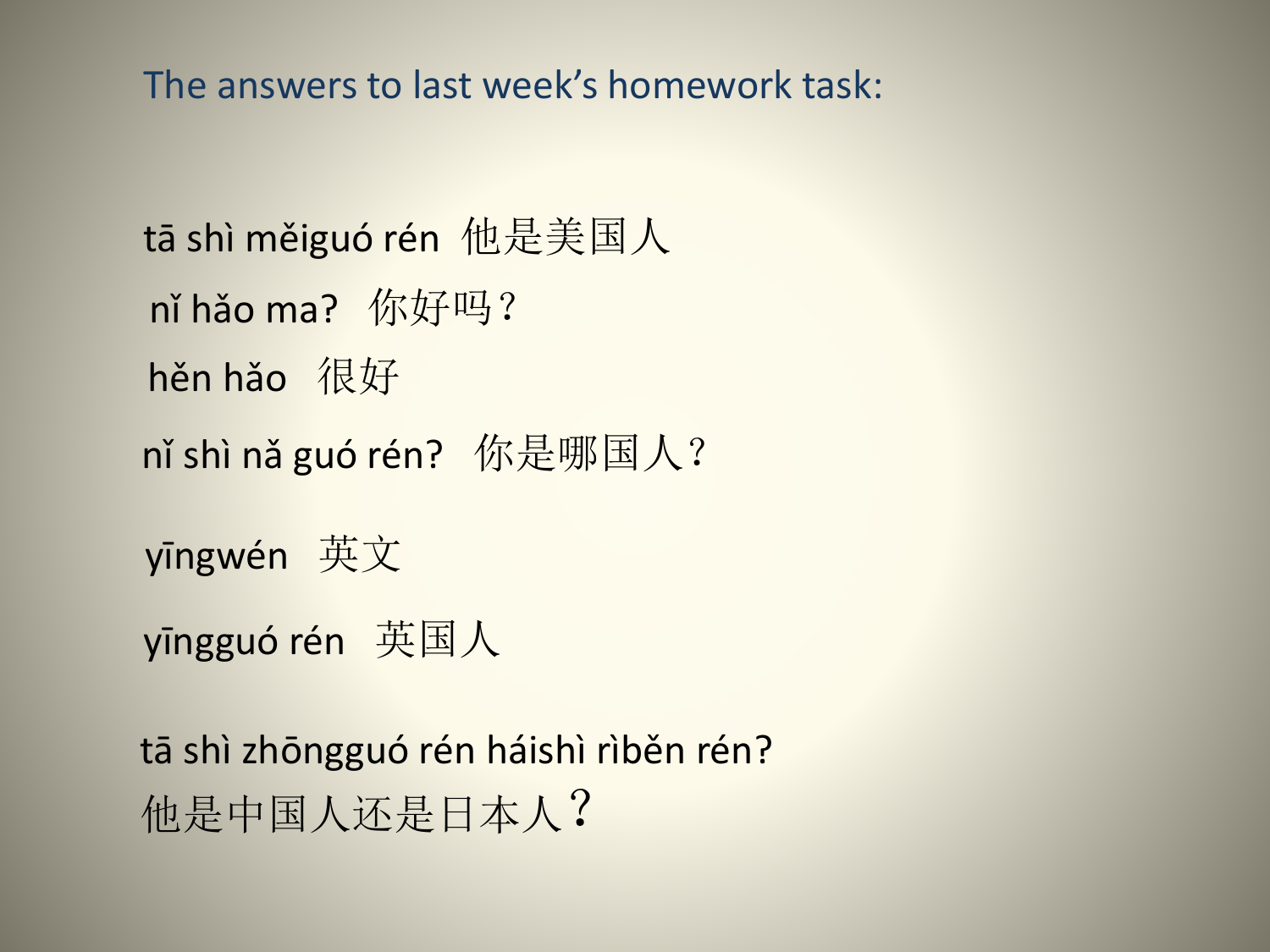The answers to last week's homework task:

```
tā shì měiguó rén 他是美国人
yīngwén 英文
nǐ shì nǎ guó rén? 你是哪国人?
nǐ hǎo ma? 你好吗?
hěn hǎo 很好
```
yīngguó rén 英国人

tā shì zhōngguó rén háishì rìběn rén? 他是中国人还是日本人?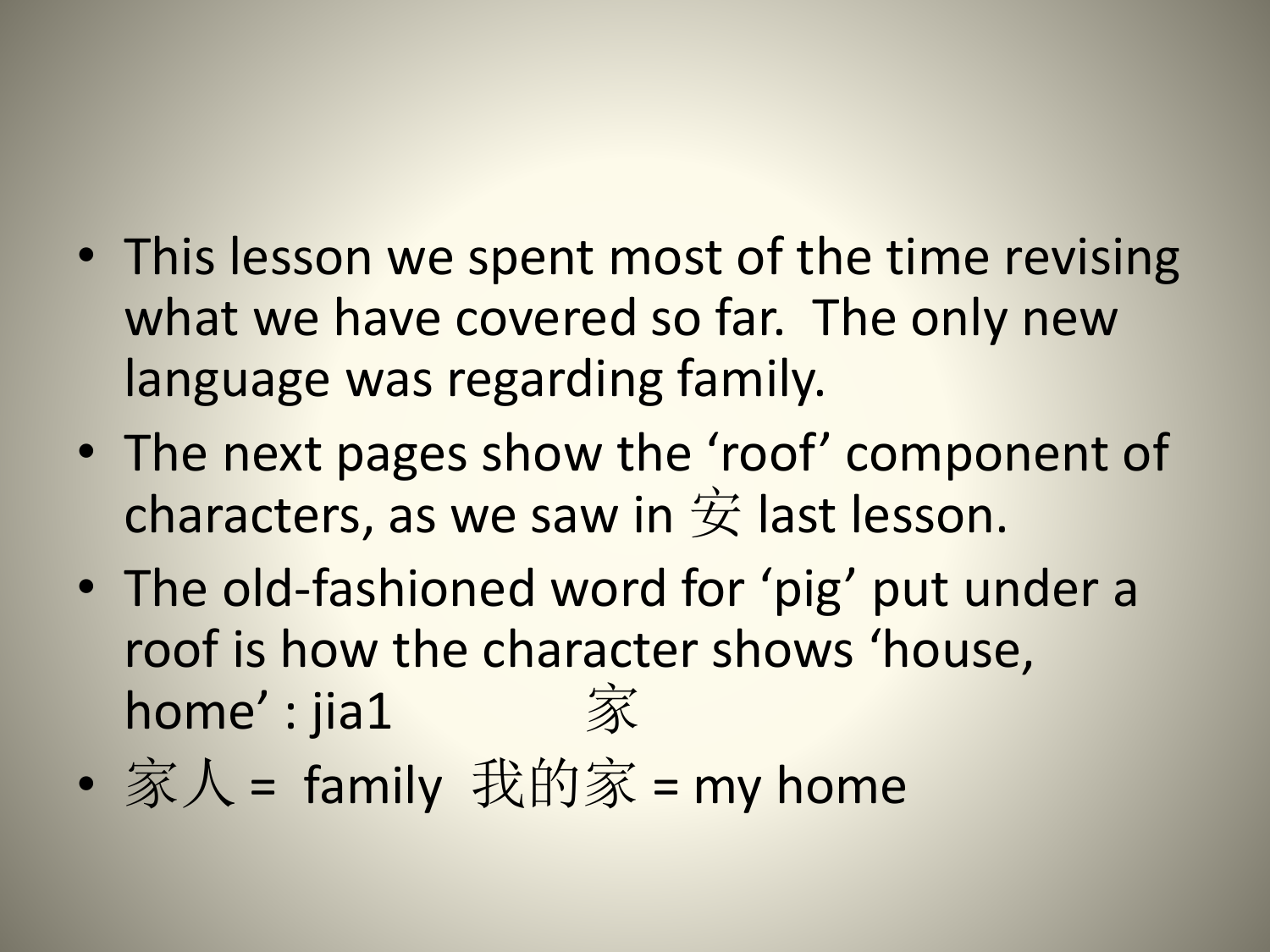- This lesson we spent most of the time revising what we have covered so far. The only new language was regarding family.
- The next pages show the 'roof' component of characters, as we saw in  $\dot{\mathcal{F}}$  last lesson.
- The old-fashioned word for 'pig' put under a roof is how the character shows 'house, home' : jia1 家
- 家人 = family 我的家 = my home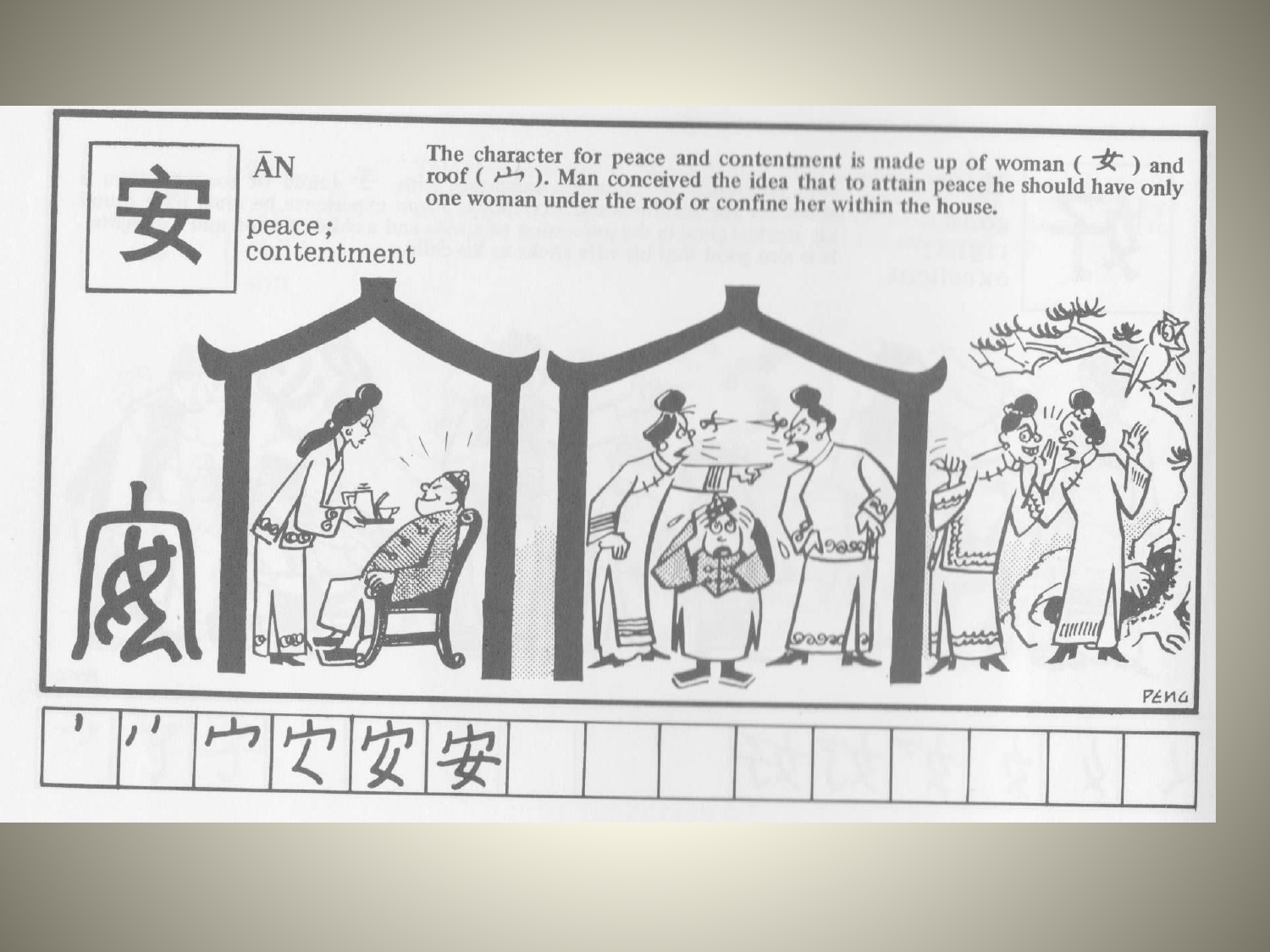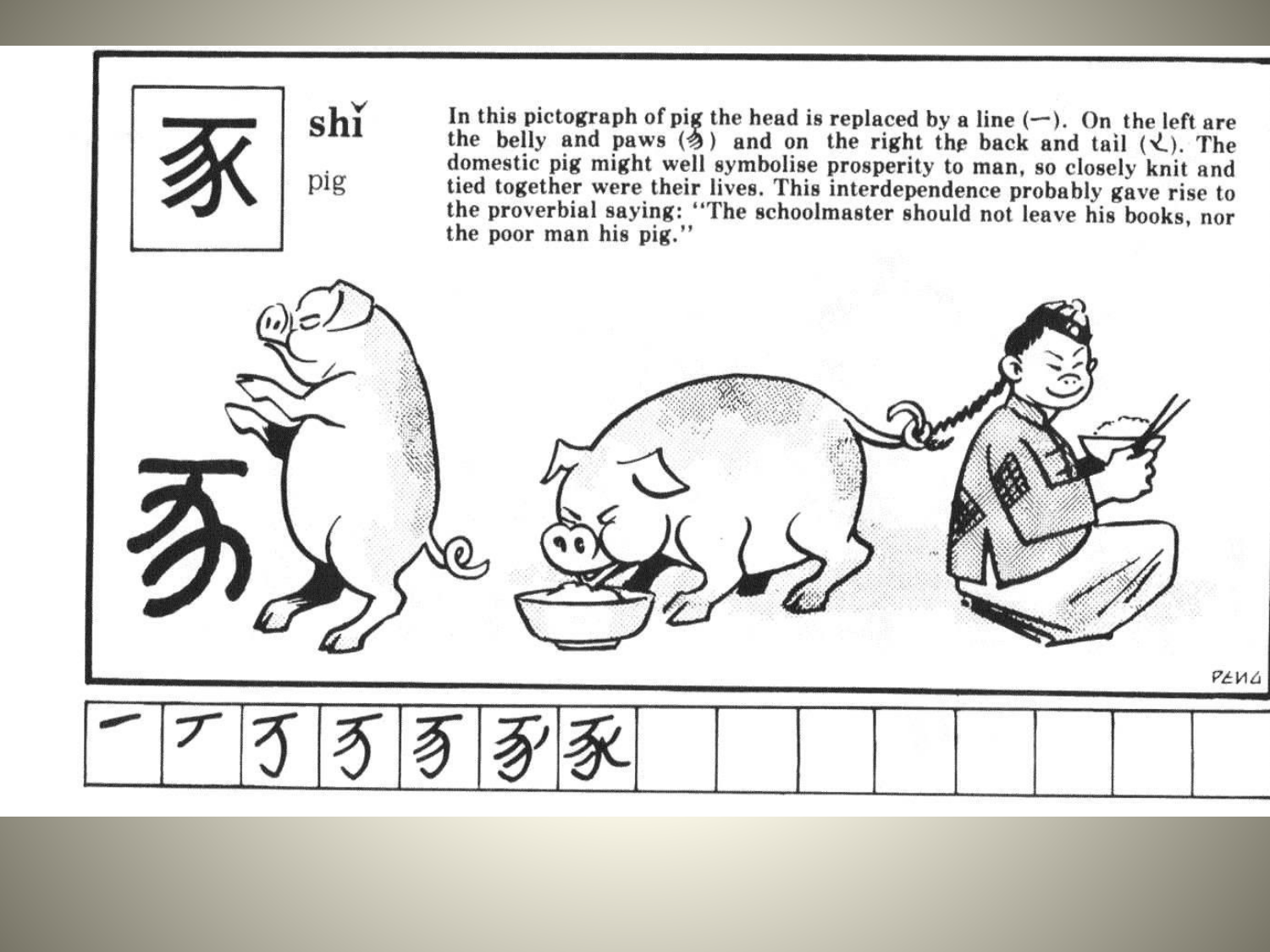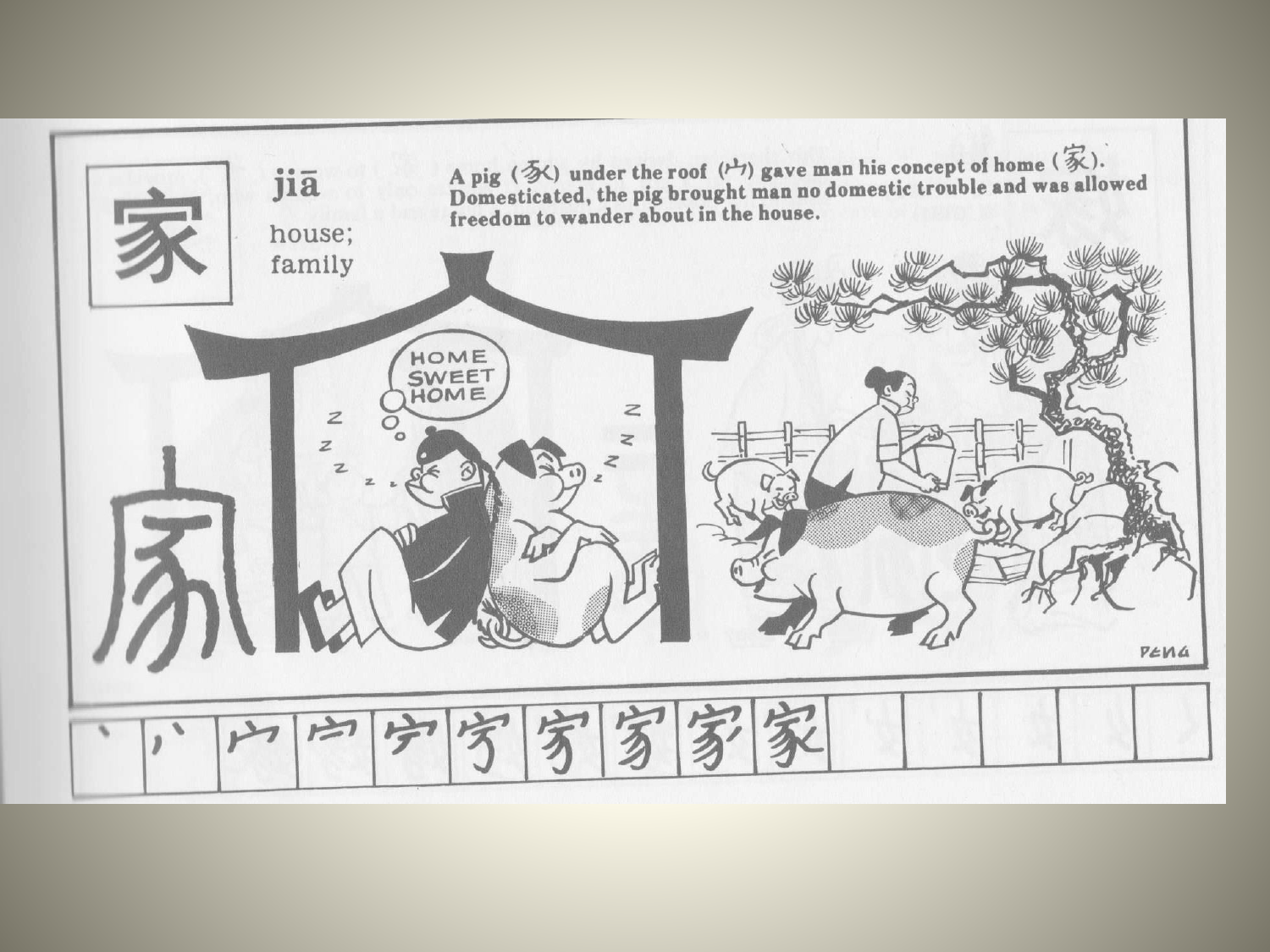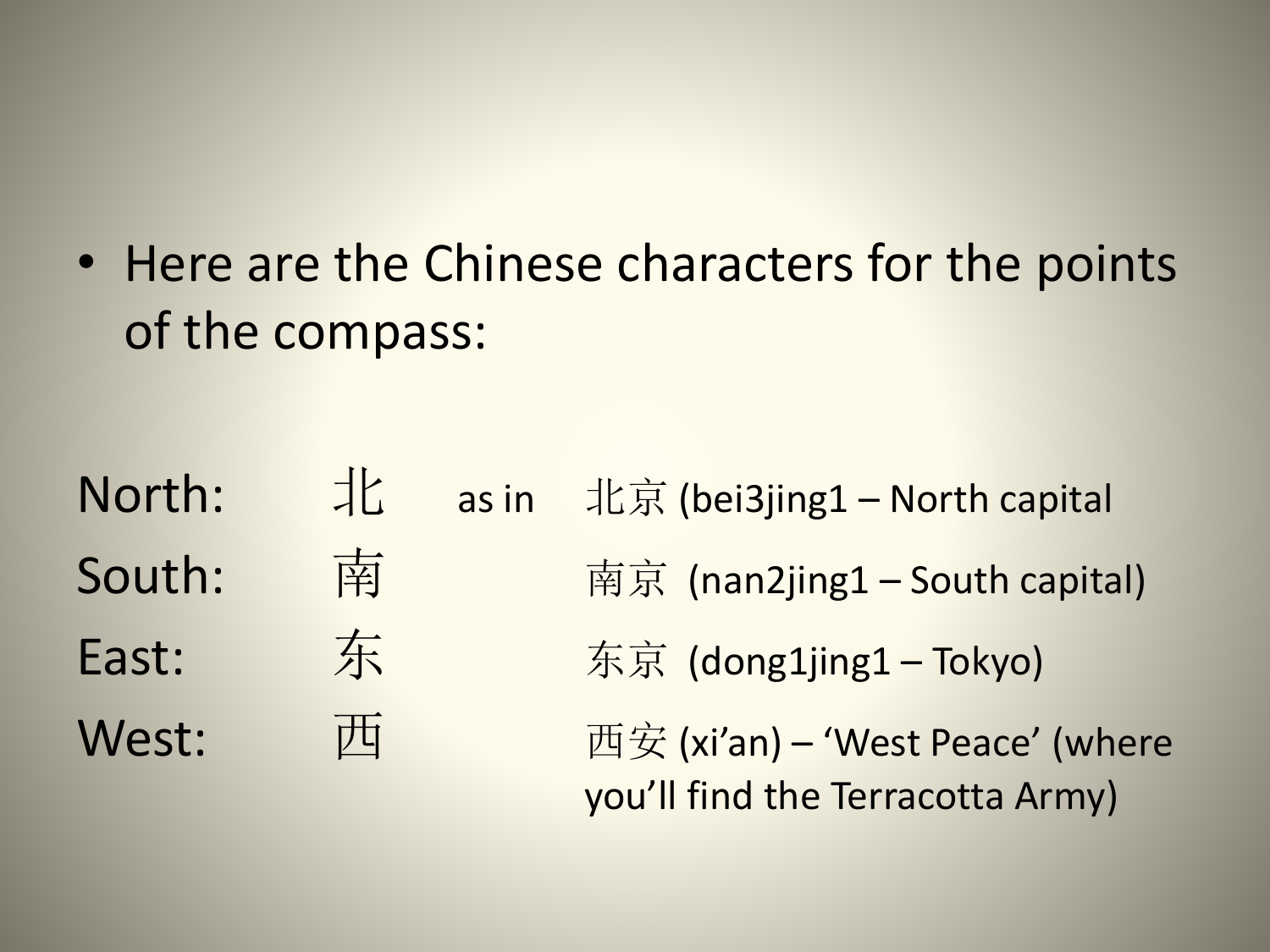• Here are the Chinese characters for the points of the compass:

**North:**  $\frac{1}{16}$  as in 北京 (bei3jing1 – North capital South: 南京 (nan2jing1 – South capital) East: 东 东京 (dong1jing1 – Tokyo) West: 西 西安 (xi'an) – 'West Peace' (where you'll find the Terracotta Army)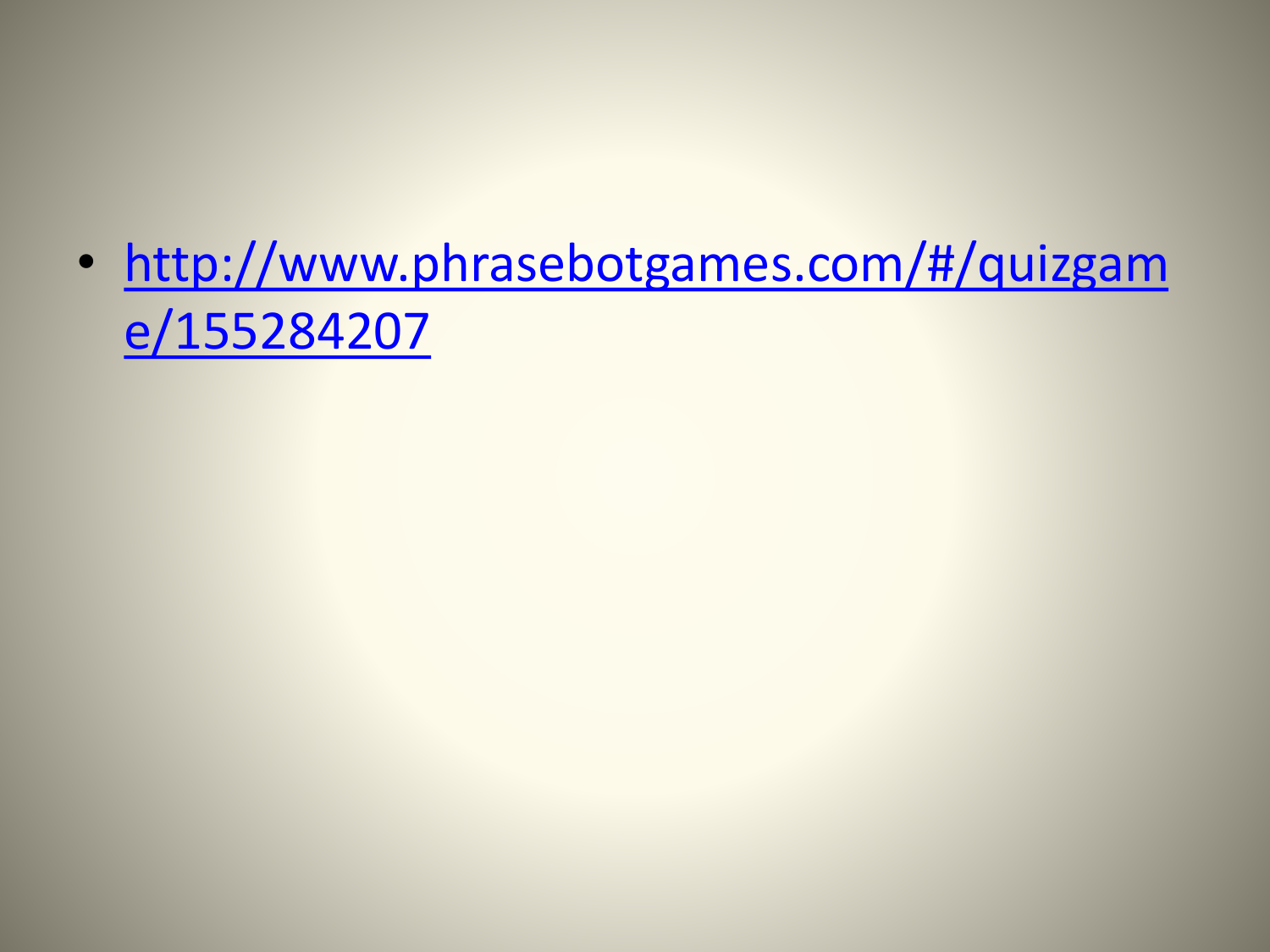• http://www.phrasebotgames.com/#/quizgam e/155284207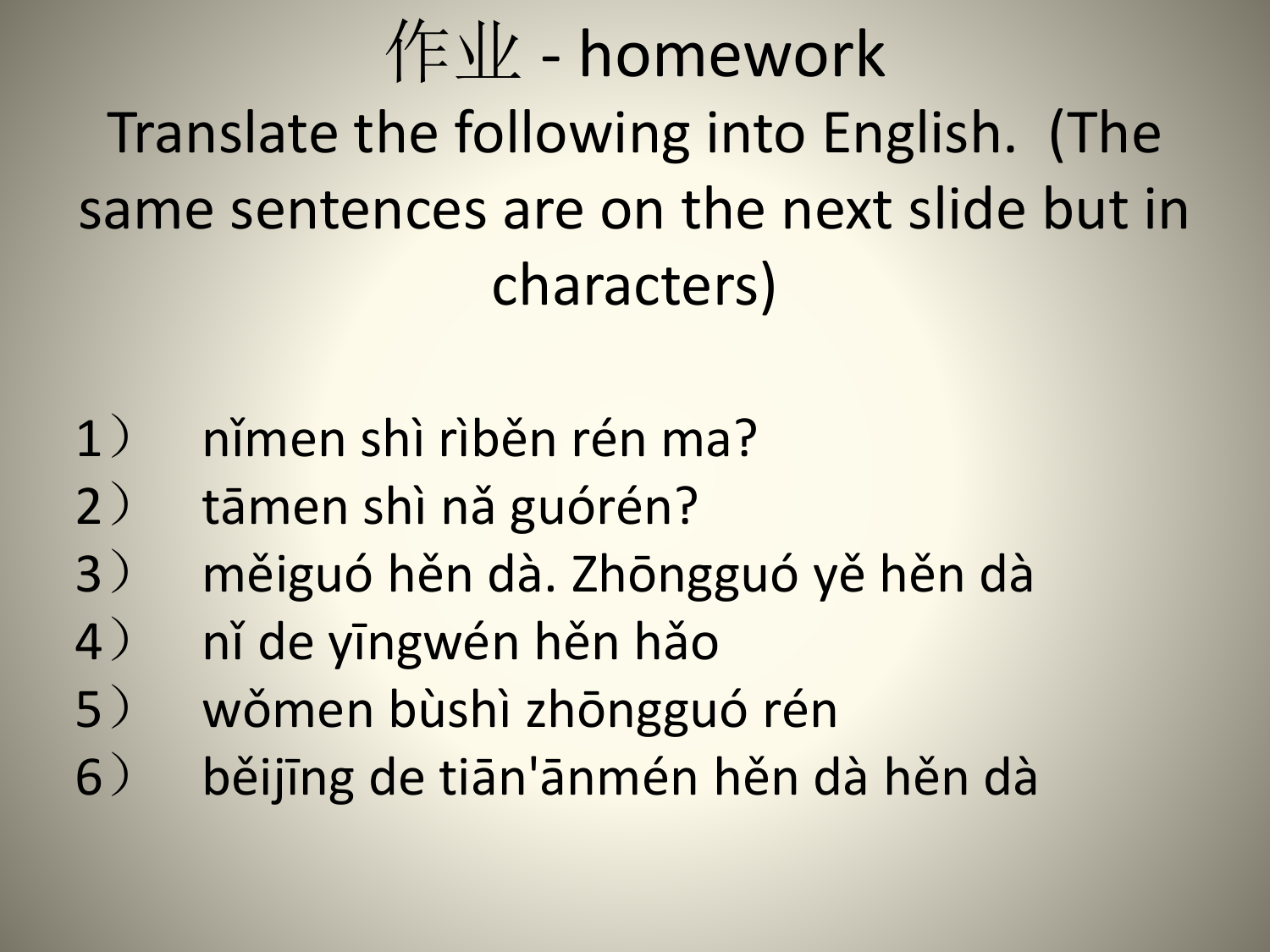作业 - homework Translate the following into English. (The same sentences are on the next slide but in characters)

- 1) nǐmen shì rìběn rén ma?
- 2) tāmen shì nǎ guórén?
- 3) měiguó hěn dà. Zhōngguó yě hěn dà
- 4) nǐ de yīngwén hěn hǎo
- 5) wǒmen bùshì zhōngguó rén
- 6) běijīng de tiān'ānmén hěn dà hěn dà